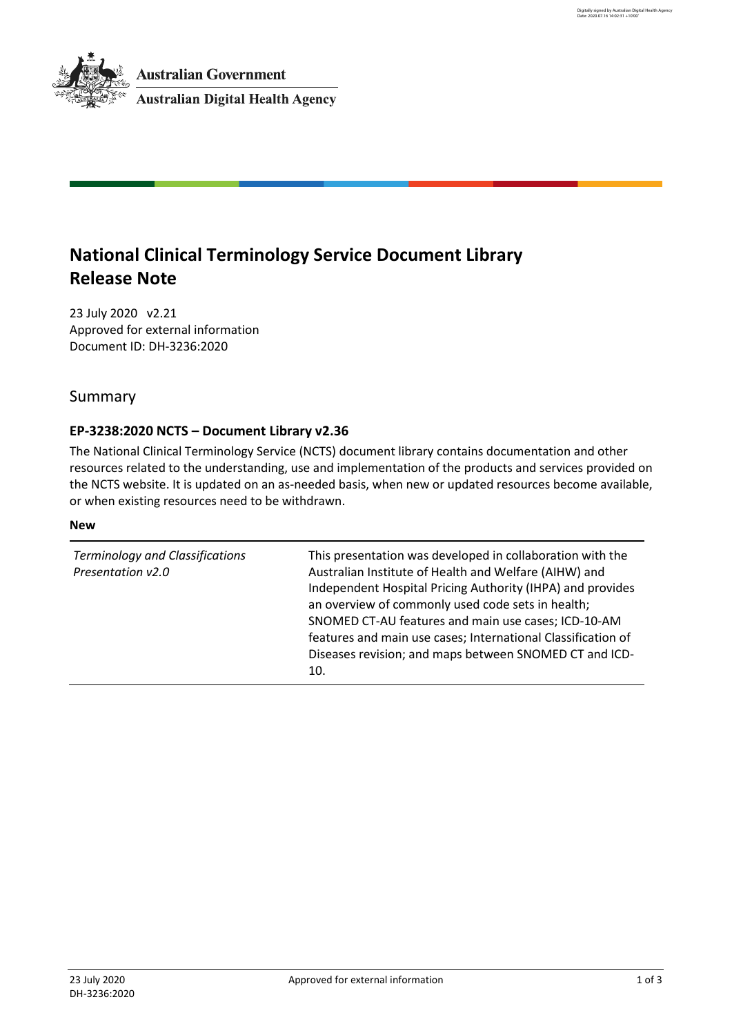# **National Clinical Terminology Service Document Library Release Note**

23 July 2020 v2.21 Approved for external information Document ID: DH-3236:2020

Summary

# **EP-3238:2020 NCTS – Document Library v2.36**

The National Clinical Terminology Service (NCTS) document library contains documentation and other resources related to the understanding, use and implementation of the products and services provided on the NCTS website. It is updated on an as-needed basis, when new or updated resources become available, or when existing resources need to be withdrawn.

### **New**

| <b>Terminology and Classifications</b><br>Presentation v2.0 | This presentation was developed in collaboration with the<br>Australian Institute of Health and Welfare (AIHW) and<br>Independent Hospital Pricing Authority (IHPA) and provides<br>an overview of commonly used code sets in health;<br>SNOMED CT-AU features and main use cases; ICD-10-AM<br>features and main use cases; International Classification of<br>Diseases revision; and maps between SNOMED CT and ICD-<br>10. |
|-------------------------------------------------------------|-------------------------------------------------------------------------------------------------------------------------------------------------------------------------------------------------------------------------------------------------------------------------------------------------------------------------------------------------------------------------------------------------------------------------------|
|-------------------------------------------------------------|-------------------------------------------------------------------------------------------------------------------------------------------------------------------------------------------------------------------------------------------------------------------------------------------------------------------------------------------------------------------------------------------------------------------------------|

Digitally signed by Australian Digital Health Agency Date: 2020.07.16 14:02:31 +10'00'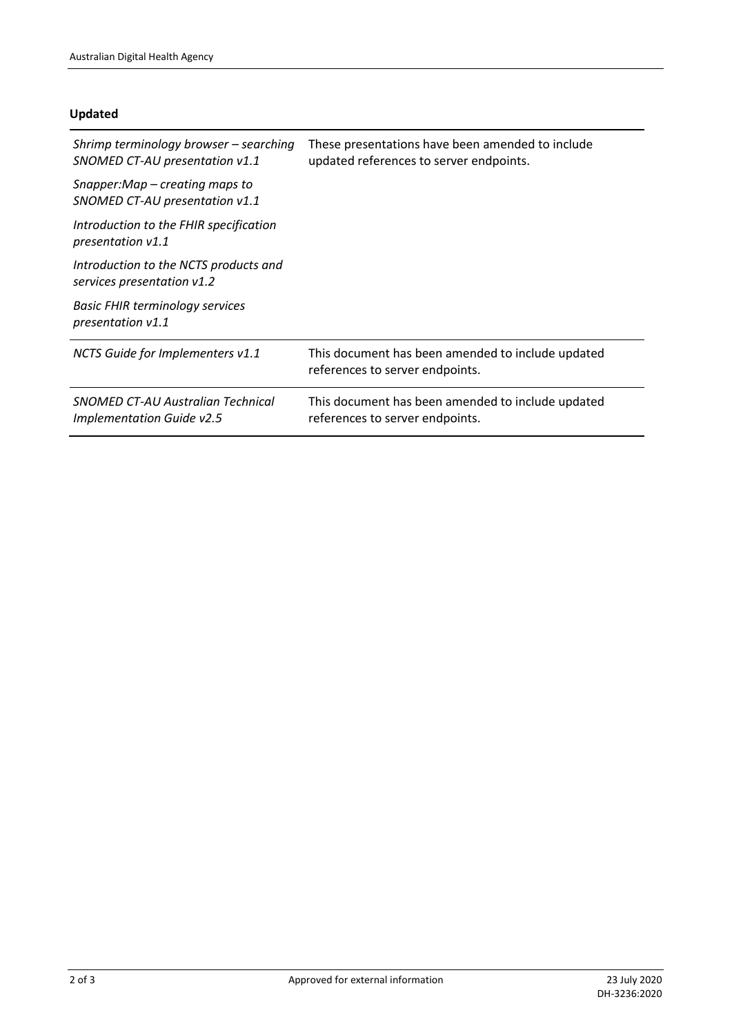## **Updated**

| Shrimp terminology browser – searching<br>SNOMED CT-AU presentation v1.1 | These presentations have been amended to include<br>updated references to server endpoints. |
|--------------------------------------------------------------------------|---------------------------------------------------------------------------------------------|
| Snapper:Map – creating maps to<br>SNOMED CT-AU presentation v1.1         |                                                                                             |
| Introduction to the FHIR specification<br>presentation v1.1              |                                                                                             |
| Introduction to the NCTS products and<br>services presentation v1.2      |                                                                                             |
| <b>Basic FHIR terminology services</b><br>presentation v1.1              |                                                                                             |
| NCTS Guide for Implementers v1.1                                         | This document has been amended to include updated<br>references to server endpoints.        |
| SNOMED CT-AU Australian Technical<br><b>Implementation Guide v2.5</b>    | This document has been amended to include updated<br>references to server endpoints.        |